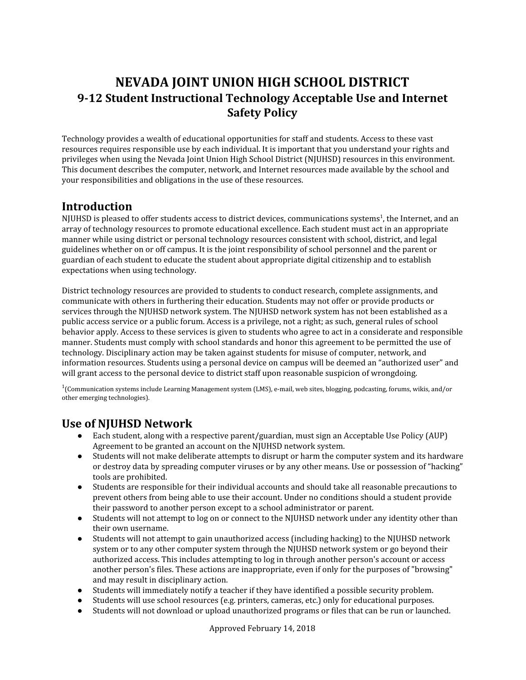## **NEVADA JOINT UNION HIGH SCHOOL DISTRICT 9-12 Student Instructional Technology Acceptable Use and Internet Safety Policy**

Technology provides a wealth of educational opportunities for staff and students. Access to these vast resources requires responsible use by each individual. It is important that you understand your rights and privileges when using the Nevada Joint Union High School District (NJUHSD) resources in this environment. This document describes the computer, network, and Internet resources made available by the school and your responsibilities and obligations in the use of these resources.

### **Introduction**

NJUHSD is pleased to offer students access to district devices, communications systems 1 , the Internet, and an array of technology resources to promote educational excellence. Each student must act in an appropriate manner while using district or personal technology resources consistent with school, district, and legal guidelines whether on or off campus. It is the joint responsibility of school personnel and the parent or guardian of each student to educate the student about appropriate digital citizenship and to establish expectations when using technology.

District technology resources are provided to students to conduct research, complete assignments, and communicate with others in furthering their education. Students may not offer or provide products or services through the NJUHSD network system. The NJUHSD network system has not been established as a public access service or a public forum. Access is a privilege, not a right; as such, general rules of school behavior apply. Access to these services is given to students who agree to act in a considerate and responsible manner. Students must comply with school standards and honor this agreement to be permitted the use of technology. Disciplinary action may be taken against students for misuse of computer, network, and information resources. Students using a personal device on campus will be deemed an "authorized user" and will grant access to the personal device to district staff upon reasonable suspicion of wrongdoing.

1 (Communication systems include Learning Management system (LMS), e-mail, web sites, blogging, podcasting, forums, wikis, and/or other emerging technologies).

### **Use of NJUHSD Network**

- Each student, along with a respective parent/guardian, must sign an Acceptable Use Policy (AUP) Agreement to be granted an account on the NJUHSD network system.
- Students will not make deliberate attempts to disrupt or harm the computer system and its hardware or destroy data by spreading computer viruses or by any other means. Use or possession of "hacking" tools are prohibited.
- Students are responsible for their individual accounts and should take all reasonable precautions to prevent others from being able to use their account. Under no conditions should a student provide their password to another person except to a school administrator or parent.
- Students will not attempt to log on or connect to the NJUHSD network under any identity other than their own username.
- Students will not attempt to gain unauthorized access (including hacking) to the NJUHSD network system or to any other computer system through the NJUHSD network system or go beyond their authorized access. This includes attempting to log in through another person's account or access another person's files. These actions are inappropriate, even if only for the purposes of "browsing" and may result in disciplinary action.
- Students will immediately notify a teacher if they have identified a possible security problem.
- Students will use school resources (e.g. printers, cameras, etc.) only for educational purposes.
- Students will not download or upload unauthorized programs or files that can be run or launched.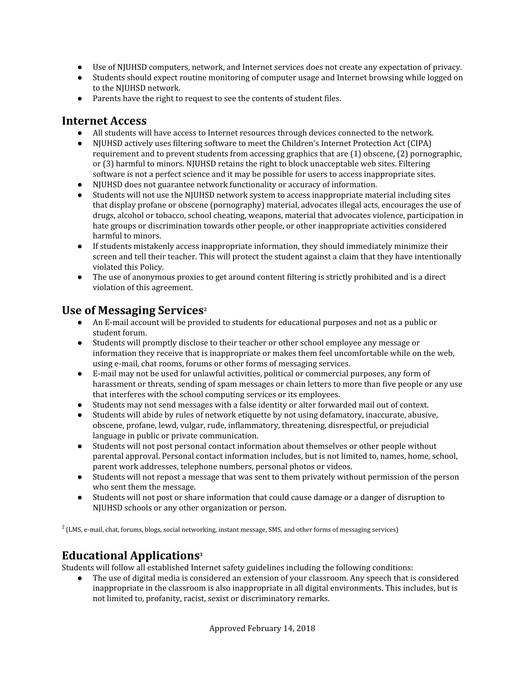- Use of NJUHSD computers, network, and Internet services does not create any expectation of privacy.
- Students should expect routine monitoring of computer usage and Internet browsing while logged on to the NJUHSD network.
- Parents have the right to request to see the contents of student files.

#### **Internet Access**

- All students will have access to Internet resources through devices connected to the network.
- NJUHSD actively uses filtering software to meet the Children's Internet Protection Act (CIPA) requirement and to prevent students from accessing graphics that are (1) obscene, (2) pornographic, or (3) harmful to minors. NJUHSD retains the right to block unacceptable web sites. Filtering software is not a perfect science and it may be possible for users to access inappropriate sites.
- NJUHSD does not guarantee network functionality or accuracy of information.
- Students will not use the NJUHSD network system to access inappropriate material including sites that display profane or obscene (pornography) material, advocates illegal acts, encourages the use of drugs, alcohol or tobacco, school cheating, weapons, material that advocates violence, participation in hate groups or discrimination towards other people, or other inappropriate activities considered harmful to minors.
- If students mistakenly access inappropriate information, they should immediately minimize their screen and tell their teacher. This will protect the student against a claim that they have intentionally violated this Policy.
- The use of anonymous proxies to get around content filtering is strictly prohibited and is a direct violation of this agreement.

## **Use of Messaging Services 2**

- An E-mail account will be provided to students for educational purposes and not as a public or student forum.
- Students will promptly disclose to their teacher or other school employee any message or information they receive that is inappropriate or makes them feel uncomfortable while on the web, using e-mail, chat rooms, forums or other forms of messaging services.
- E-mail may not be used for unlawful activities, political or commercial purposes, any form of harassment or threats, sending of spam messages or chain letters to more than five people or any use that interferes with the school computing services or its employees.
- Students may not send messages with a false identity or alter forwarded mail out of context.
- Students will abide by rules of network etiquette by not using defamatory, inaccurate, abusive, obscene, profane, lewd, vulgar, rude, inflammatory, threatening, disrespectful, or prejudicial language in public or private communication.
- Students will not post personal contact information about themselves or other people without parental approval. Personal contact information includes, but is not limited to, names, home, school, parent work addresses, telephone numbers, personal photos or videos.
- Students will not repost a message that was sent to them privately without permission of the person who sent them the message.
- Students will not post or share information that could cause damage or a danger of disruption to NJUHSD schools or any other organization or person.

 $2$  (LMS, e-mail, chat, forums, blogs, social networking, instant message, SMS, and other forms of messaging services)

# **Educational Applications 3**

Students will follow all established Internet safety guidelines including the following conditions:

The use of digital media is considered an extension of your classroom. Any speech that is considered inappropriate in the classroom is also inappropriate in all digital environments. This includes, but is not limited to, profanity, racist, sexist or discriminatory remarks.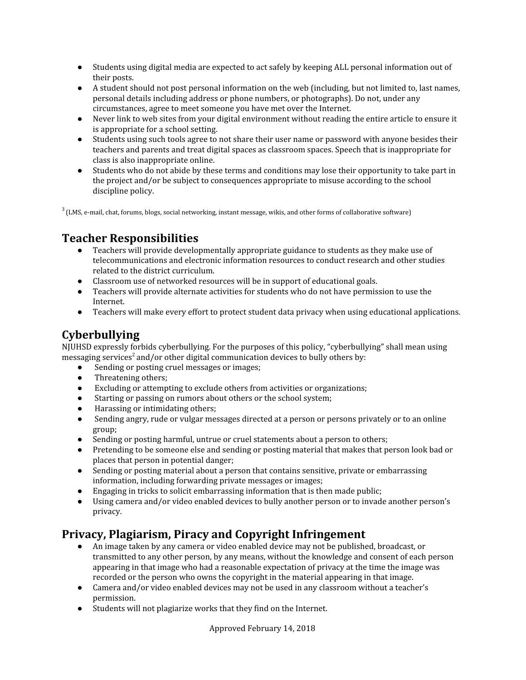- Students using digital media are expected to act safely by keeping ALL personal information out of their posts.
- A student should not post personal information on the web (including, but not limited to, last names, personal details including address or phone numbers, or photographs). Do not, under any circumstances, agree to meet someone you have met over the Internet.
- Never link to web sites from your digital environment without reading the entire article to ensure it is appropriate for a school setting.
- Students using such tools agree to not share their user name or password with anyone besides their teachers and parents and treat digital spaces as classroom spaces. Speech that is inappropriate for class is also inappropriate online.
- Students who do not abide by these terms and conditions may lose their opportunity to take part in the project and/or be subject to consequences appropriate to misuse according to the school discipline policy.

 $3$  (LMS, e-mail, chat, forums, blogs, social networking, instant message, wikis, and other forms of collaborative software)

### **Teacher Responsibilities**

- Teachers will provide developmentally appropriate guidance to students as they make use of telecommunications and electronic information resources to conduct research and other studies related to the district curriculum.
- Classroom use of networked resources will be in support of educational goals.
- Teachers will provide alternate activities for students who do not have permission to use the Internet.
- Teachers will make every effort to protect student data privacy when using educational applications.

## **Cyberbullying**

NJUHSD expressly forbids cyberbullying. For the purposes of this policy, "cyberbullying" shall mean using messaging services<sup>2</sup> and/or other digital communication devices to bully others by:

- Sending or posting cruel messages or images;
- Threatening others;
- Excluding or attempting to exclude others from activities or organizations;
- Starting or passing on rumors about others or the school system;
- Harassing or intimidating others;
- Sending angry, rude or vulgar messages directed at a person or persons privately or to an online group;
- Sending or posting harmful, untrue or cruel statements about a person to others;
- Pretending to be someone else and sending or posting material that makes that person look bad or places that person in potential danger;
- Sending or posting material about a person that contains sensitive, private or embarrassing information, including forwarding private messages or images;
- Engaging in tricks to solicit embarrassing information that is then made public;
- Using camera and/or video enabled devices to bully another person or to invade another person's privacy.

### **Privacy, Plagiarism, Piracy and Copyright Infringement**

- An image taken by any camera or video enabled device may not be published, broadcast, or transmitted to any other person, by any means, without the knowledge and consent of each person appearing in that image who had a reasonable expectation of privacy at the time the image was recorded or the person who owns the copyright in the material appearing in that image.
- Camera and/or video enabled devices may not be used in any classroom without a teacher's permission.
- Students will not plagiarize works that they find on the Internet.

Approved February 14, 2018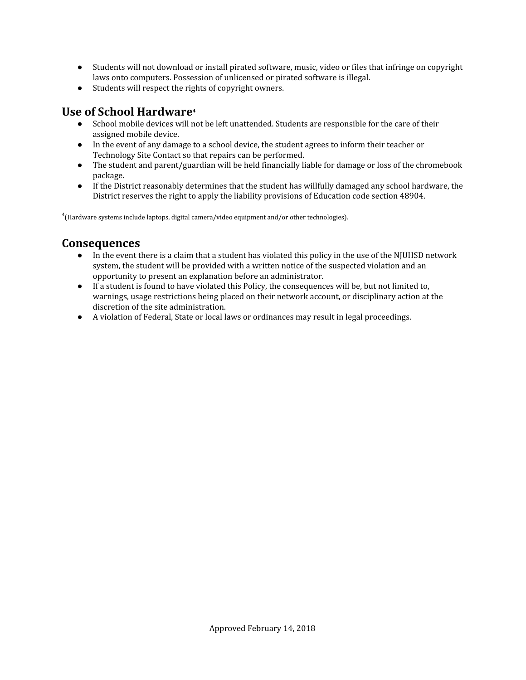- Students will not download or install pirated software, music, video or files that infringe on copyright laws onto computers. Possession of unlicensed or pirated software is illegal.
- Students will respect the rights of copyright owners.

## **Use of School Hardware 4**

- School mobile devices will not be left unattended. Students are responsible for the care of their assigned mobile device.
- In the event of any damage to a school device, the student agrees to inform their teacher or Technology Site Contact so that repairs can be performed.
- The student and parent/guardian will be held financially liable for damage or loss of the chromebook package.
- If the District reasonably determines that the student has willfully damaged any school hardware, the District reserves the right to apply the liability provisions of Education code section 48904.

 $^4$ (Hardware systems include laptops, digital camera/video equipment and/or other technologies).

#### **Consequences**

- In the event there is a claim that a student has violated this policy in the use of the NJUHSD network system, the student will be provided with a written notice of the suspected violation and an opportunity to present an explanation before an administrator.
- If a student is found to have violated this Policy, the consequences will be, but not limited to, warnings, usage restrictions being placed on their network account, or disciplinary action at the discretion of the site administration.
- A violation of Federal, State or local laws or ordinances may result in legal proceedings.